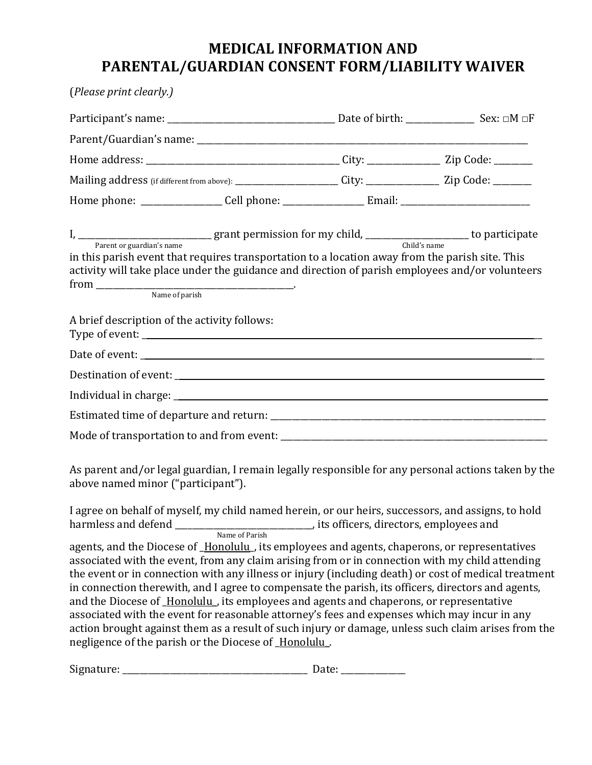## **MEDICAL INFORMATION AND PARENTAL/GUARDIAN CONSENT FORM/LIABILITY WAIVER**

| (Please print clearly.)                                                                                                                                                                                                                                                                                                                                                                                                                                                                                                                                                                                                                                                                                                                                                |                                        |  |
|------------------------------------------------------------------------------------------------------------------------------------------------------------------------------------------------------------------------------------------------------------------------------------------------------------------------------------------------------------------------------------------------------------------------------------------------------------------------------------------------------------------------------------------------------------------------------------------------------------------------------------------------------------------------------------------------------------------------------------------------------------------------|----------------------------------------|--|
|                                                                                                                                                                                                                                                                                                                                                                                                                                                                                                                                                                                                                                                                                                                                                                        |                                        |  |
|                                                                                                                                                                                                                                                                                                                                                                                                                                                                                                                                                                                                                                                                                                                                                                        |                                        |  |
|                                                                                                                                                                                                                                                                                                                                                                                                                                                                                                                                                                                                                                                                                                                                                                        |                                        |  |
| Mailing address (if different from above): _______________________City: ________________Zip Code: ________                                                                                                                                                                                                                                                                                                                                                                                                                                                                                                                                                                                                                                                             |                                        |  |
|                                                                                                                                                                                                                                                                                                                                                                                                                                                                                                                                                                                                                                                                                                                                                                        |                                        |  |
| in this parish event that requires transportation to a location away from the parish site. This<br>activity will take place under the guidance and direction of parish employees and/or volunteers                                                                                                                                                                                                                                                                                                                                                                                                                                                                                                                                                                     |                                        |  |
| A brief description of the activity follows:                                                                                                                                                                                                                                                                                                                                                                                                                                                                                                                                                                                                                                                                                                                           |                                        |  |
|                                                                                                                                                                                                                                                                                                                                                                                                                                                                                                                                                                                                                                                                                                                                                                        |                                        |  |
|                                                                                                                                                                                                                                                                                                                                                                                                                                                                                                                                                                                                                                                                                                                                                                        |                                        |  |
|                                                                                                                                                                                                                                                                                                                                                                                                                                                                                                                                                                                                                                                                                                                                                                        |                                        |  |
|                                                                                                                                                                                                                                                                                                                                                                                                                                                                                                                                                                                                                                                                                                                                                                        |                                        |  |
|                                                                                                                                                                                                                                                                                                                                                                                                                                                                                                                                                                                                                                                                                                                                                                        |                                        |  |
| As parent and/or legal guardian, I remain legally responsible for any personal actions taken by the<br>above named minor ("participant").                                                                                                                                                                                                                                                                                                                                                                                                                                                                                                                                                                                                                              |                                        |  |
| I agree on behalf of myself, my child named herein, or our heirs, successors, and assigns, to hold<br>harmless and defend _<br>Name of Parish                                                                                                                                                                                                                                                                                                                                                                                                                                                                                                                                                                                                                          | its officers, directors, employees and |  |
| agents, and the Diocese of Honolulu, its employees and agents, chaperons, or representatives<br>associated with the event, from any claim arising from or in connection with my child attending<br>the event or in connection with any illness or injury (including death) or cost of medical treatment<br>in connection therewith, and I agree to compensate the parish, its officers, directors and agents,<br>and the Diocese of Honolulu, its employees and agents and chaperons, or representative<br>associated with the event for reasonable attorney's fees and expenses which may incur in any<br>action brought against them as a result of such injury or damage, unless such claim arises from the<br>negligence of the parish or the Diocese of Honolulu. |                                        |  |

Signature: \_\_\_\_\_\_\_\_\_\_\_\_\_\_\_\_\_\_\_\_\_\_\_\_\_\_\_\_\_\_\_\_\_\_\_\_\_\_\_\_\_\_\_ Date: \_\_\_\_\_\_\_\_\_\_\_\_\_\_\_